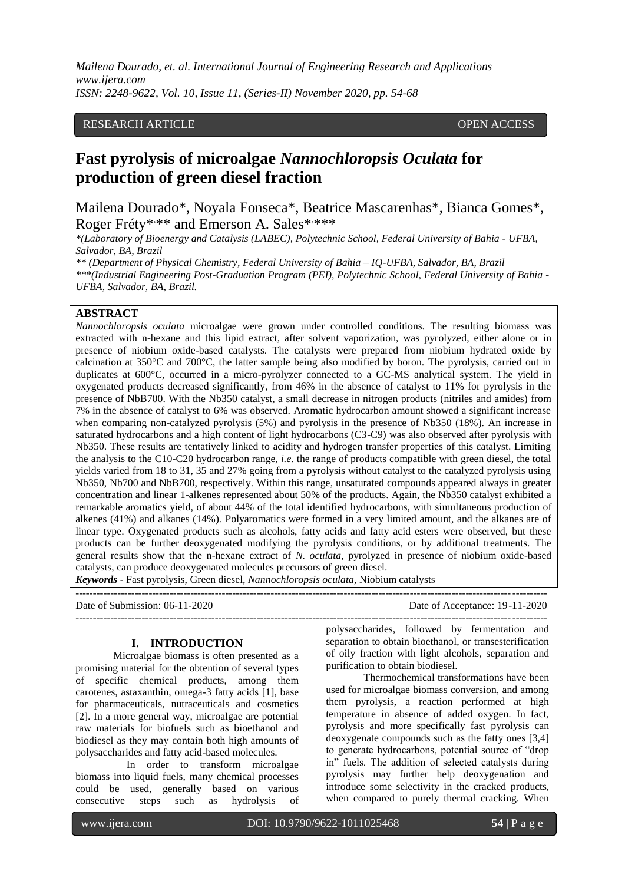*Mailena Dourado, et. al. International Journal of Engineering Research and Applications www.ijera.com ISSN: 2248-9622, Vol. 10, Issue 11, (Series-II) November 2020, pp. 54-68*

### RESEARCH ARTICLE **CONTRACT ARTICLE** AND A SERVICE OPEN ACCESS

# **Fast pyrolysis of microalgae** *Nannochloropsis Oculata* **for production of green diesel fraction**

Mailena Dourado\*, Noyala Fonseca\*, Beatrice Mascarenhas\*, Bianca Gomes\*, Roger Fréty\*<sup>\*\*\*</sup> and Emerson A. Sales\*\*\*\*\*

*\*(Laboratory of Bioenergy and Catalysis (LABEC), Polytechnic School, Federal University of Bahia - UFBA, Salvador, BA, Brazil*

*\*\* (Department of Physical Chemistry, Federal University of Bahia – IQ-UFBA, Salvador, BA, Brazil \*\*\*(Industrial Engineering Post-Graduation Program (PEI), Polytechnic School, Federal University of Bahia - UFBA, Salvador, BA, Brazil.* 

### **ABSTRACT**

*Nannochloropsis oculata* microalgae were grown under controlled conditions. The resulting biomass was extracted with n-hexane and this lipid extract, after solvent vaporization, was pyrolyzed, either alone or in presence of niobium oxide-based catalysts. The catalysts were prepared from niobium hydrated oxide by calcination at 350°C and 700°C, the latter sample being also modified by boron. The pyrolysis, carried out in duplicates at 600°C, occurred in a micro-pyrolyzer connected to a GC-MS analytical system. The yield in oxygenated products decreased significantly, from 46% in the absence of catalyst to 11% for pyrolysis in the presence of NbB700. With the Nb350 catalyst, a small decrease in nitrogen products (nitriles and amides) from 7% in the absence of catalyst to 6% was observed. Aromatic hydrocarbon amount showed a significant increase when comparing non-catalyzed pyrolysis (5%) and pyrolysis in the presence of Nb350 (18%). An increase in saturated hydrocarbons and a high content of light hydrocarbons (C3-C9) was also observed after pyrolysis with Nb350. These results are tentatively linked to acidity and hydrogen transfer properties of this catalyst. Limiting the analysis to the C10-C20 hydrocarbon range, *i.e*. the range of products compatible with green diesel, the total yields varied from 18 to 31, 35 and 27% going from a pyrolysis without catalyst to the catalyzed pyrolysis using Nb350, Nb700 and NbB700, respectively. Within this range, unsaturated compounds appeared always in greater concentration and linear 1-alkenes represented about 50% of the products. Again, the Nb350 catalyst exhibited a remarkable aromatics yield, of about 44% of the total identified hydrocarbons, with simultaneous production of alkenes (41%) and alkanes (14%). Polyaromatics were formed in a very limited amount, and the alkanes are of linear type. Oxygenated products such as alcohols, fatty acids and fatty acid esters were observed, but these products can be further deoxygenated modifying the pyrolysis conditions, or by additional treatments. The general results show that the n-hexane extract of *N. oculata*, pyrolyzed in presence of niobium oxide-based catalysts, can produce deoxygenated molecules precursors of green diesel.

*Keywords* **-** Fast pyrolysis, Green diesel*, Nannochloropsis oculata*, Niobium catalysts

| Date of Submission: $06-11-2020$ | Date of Acceptance: 19-11-2020 |
|----------------------------------|--------------------------------|
|                                  |                                |

### **I. INTRODUCTION**

Microalgae biomass is often presented as a promising material for the obtention of several types of specific chemical products, among them carotenes, astaxanthin, omega-3 fatty acids [1], base for pharmaceuticals, nutraceuticals and cosmetics [2]. In a more general way, microalgae are potential raw materials for biofuels such as bioethanol and biodiesel as they may contain both high amounts of polysaccharides and fatty acid-based molecules.

 In order to transform microalgae biomass into liquid fuels, many chemical processes could be used, generally based on various consecutive steps such as hydrolysis of polysaccharides, followed by fermentation and separation to obtain bioethanol, or transesterification of oily fraction with light alcohols, separation and purification to obtain biodiesel.

Thermochemical transformations have been used for microalgae biomass conversion, and among them pyrolysis, a reaction performed at high temperature in absence of added oxygen. In fact, pyrolysis and more specifically fast pyrolysis can deoxygenate compounds such as the fatty ones [3,4] to generate hydrocarbons, potential source of "drop" in" fuels. The addition of selected catalysts during pyrolysis may further help deoxygenation and introduce some selectivity in the cracked products, when compared to purely thermal cracking. When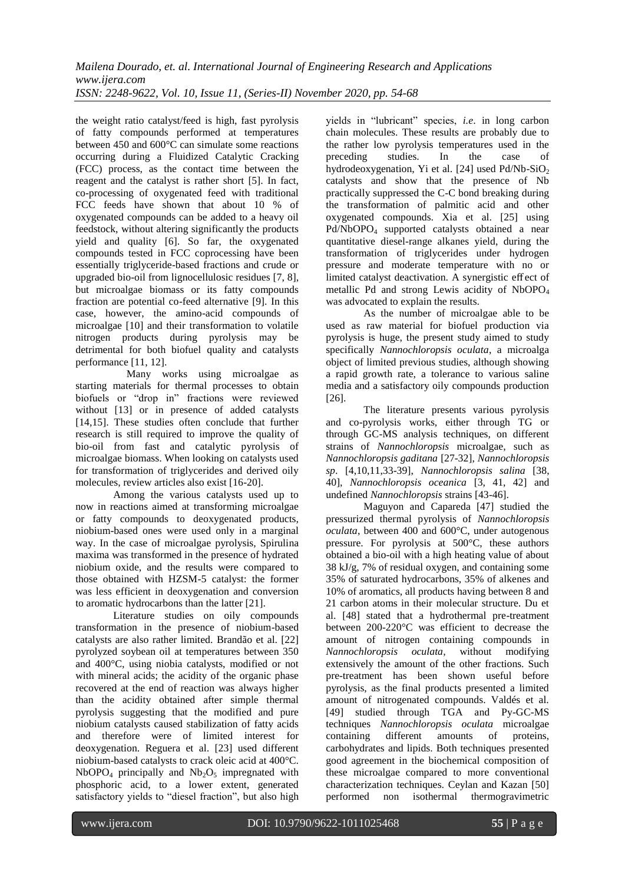the weight ratio catalyst/feed is high, fast pyrolysis of fatty compounds performed at temperatures between 450 and 600°C can simulate some reactions occurring during a Fluidized Catalytic Cracking (FCC) process, as the contact time between the reagent and the catalyst is rather short [5]. In fact, co-processing of oxygenated feed with traditional FCC feeds have shown that about 10 % of oxygenated compounds can be added to a heavy oil feedstock, without altering significantly the products yield and quality [6]. So far, the oxygenated compounds tested in FCC coprocessing have been essentially triglyceride-based fractions and crude or upgraded bio-oil from lignocellulosic residues [7, 8], but microalgae biomass or its fatty compounds fraction are potential co-feed alternative [9]. In this case, however, the amino-acid compounds of microalgae [10] and their transformation to volatile nitrogen products during pyrolysis may be detrimental for both biofuel quality and catalysts performance [11, 12].

 Many works using microalgae as starting materials for thermal processes to obtain biofuels or "drop in" fractions were reviewed without [13] or in presence of added catalysts [14,15]. These studies often conclude that further research is still required to improve the quality of bio-oil from fast and catalytic pyrolysis of microalgae biomass. When looking on catalysts used for transformation of triglycerides and derived oily molecules, review articles also exist [16-20].

Among the various catalysts used up to now in reactions aimed at transforming microalgae or fatty compounds to deoxygenated products, niobium-based ones were used only in a marginal way. In the case of microalgae pyrolysis, Spirulina maxima was transformed in the presence of hydrated niobium oxide, and the results were compared to those obtained with HZSM-5 catalyst: the former was less efficient in deoxygenation and conversion to aromatic hydrocarbons than the latter [21].

Literature studies on oily compounds transformation in the presence of niobium-based catalysts are also rather limited. Brandão et al. [22] pyrolyzed soybean oil at temperatures between 350 and 400°C, using niobia catalysts, modified or not with mineral acids; the acidity of the organic phase recovered at the end of reaction was always higher than the acidity obtained after simple thermal pyrolysis suggesting that the modified and pure niobium catalysts caused stabilization of fatty acids and therefore were of limited interest for deoxygenation. Reguera et al. [23] used different niobium-based catalysts to crack oleic acid at 400°C.  $NbOPO<sub>4</sub>$  principally and  $Nb<sub>2</sub>O<sub>5</sub>$  impregnated with phosphoric acid, to a lower extent, generated satisfactory yields to "diesel fraction", but also high

yields in "lubricant" species, *i.e.* in long carbon chain molecules. These results are probably due to the rather low pyrolysis temperatures used in the preceding studies. In the case of preceding studies. In the case of hydrodeoxygenation, Yi et al. [24] used  $Pd/Nb-SiO<sub>2</sub>$ catalysts and show that the presence of Nb practically suppressed the C-C bond breaking during the transformation of palmitic acid and other oxygenated compounds. Xia et al. [25] using Pd/NbOPO<sup>4</sup> supported catalysts obtained a near quantitative diesel-range alkanes yield, during the transformation of triglycerides under hydrogen pressure and moderate temperature with no or limited catalyst deactivation. A synergistic eff ect of metallic Pd and strong Lewis acidity of NbOPO<sub>4</sub> was advocated to explain the results.

As the number of microalgae able to be used as raw material for biofuel production via pyrolysis is huge, the present study aimed to study specifically *Nannochloropsis oculata*, a microalga object of limited previous studies, although showing a rapid growth rate, a tolerance to various saline media and a satisfactory oily compounds production [26].

The literature presents various pyrolysis and co-pyrolysis works, either through TG or through GC-MS analysis techniques, on different strains of *Nannochloropsis* microalgae, such as *Nannochloropsis gaditana* [27-32], *Nannochloropsis sp*. [4,10,11,33-39], *Nannochloropsis salina* [38, 40], *Nannochloropsis oceanica* [3, 41, 42] and undefined *Nannochloropsis* strains [43-46].

Maguyon and Capareda [47] studied the pressurized thermal pyrolysis of *Nannochloropsis oculata*, between 400 and 600°C, under autogenous pressure. For pyrolysis at 500°C, these authors obtained a bio-oil with a high heating value of about 38 kJ/g, 7% of residual oxygen, and containing some 35% of saturated hydrocarbons, 35% of alkenes and 10% of aromatics, all products having between 8 and 21 carbon atoms in their molecular structure. Du et al. [48] stated that a hydrothermal pre-treatment between 200-220°C was efficient to decrease the amount of nitrogen containing compounds in *Nannochloropsis oculata*, without modifying extensively the amount of the other fractions. Such pre-treatment has been shown useful before pyrolysis, as the final products presented a limited amount of nitrogenated compounds. Valdés et al. [49] studied through TGA and Py-GC-MS techniques *Nannochloropsis oculata* microalgae containing different amounts of proteins, carbohydrates and lipids. Both techniques presented good agreement in the biochemical composition of these microalgae compared to more conventional characterization techniques. Ceylan and Kazan [50] performed non isothermal thermogravimetric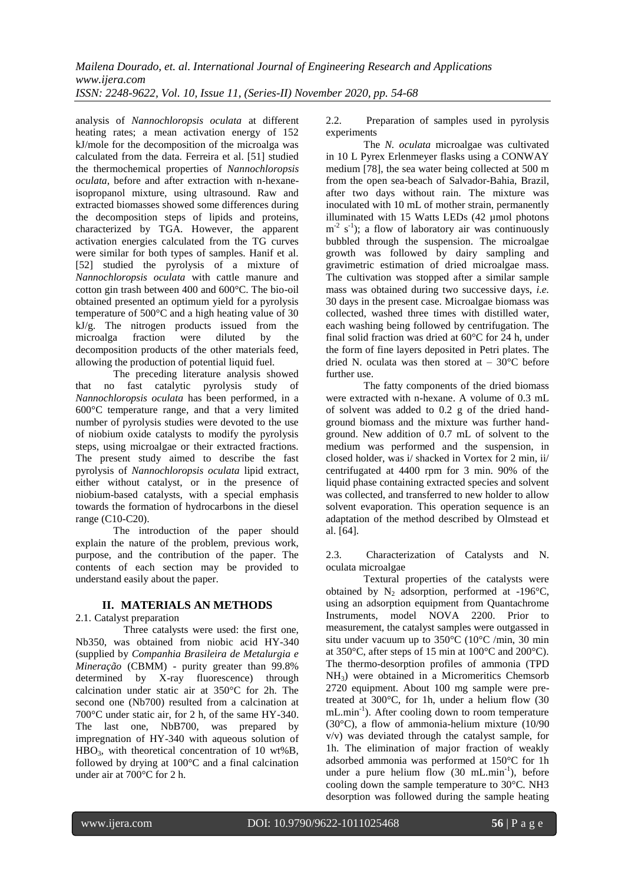analysis of *Nannochloropsis oculata* at different heating rates; a mean activation energy of 152 kJ/mole for the decomposition of the microalga was calculated from the data. Ferreira et al. [51] studied the thermochemical properties of *Nannochloropsis oculata*, before and after extraction with n-hexaneisopropanol mixture, using ultrasound. Raw and extracted biomasses showed some differences during the decomposition steps of lipids and proteins, characterized by TGA. However, the apparent activation energies calculated from the TG curves were similar for both types of samples. Hanif et al. [52] studied the pyrolysis of a mixture of *Nannochloropsis oculata* with cattle manure and cotton gin trash between 400 and 600°C. The bio-oil obtained presented an optimum yield for a pyrolysis temperature of 500°C and a high heating value of 30 kJ/g. The nitrogen products issued from the microalga fraction were diluted by the decomposition products of the other materials feed, allowing the production of potential liquid fuel.

The preceding literature analysis showed that no fast catalytic pyrolysis study of *Nannochloropsis oculata* has been performed, in a 600°C temperature range, and that a very limited number of pyrolysis studies were devoted to the use of niobium oxide catalysts to modify the pyrolysis steps, using microalgae or their extracted fractions. The present study aimed to describe the fast pyrolysis of *Nannochloropsis oculata* lipid extract, either without catalyst, or in the presence of niobium-based catalysts, with a special emphasis towards the formation of hydrocarbons in the diesel range (C10-C20).

The introduction of the paper should explain the nature of the problem, previous work, purpose, and the contribution of the paper. The contents of each section may be provided to understand easily about the paper.

## **II. MATERIALS AN METHODS**

2.1. Catalyst preparation

Three catalysts were used: the first one, Nb350, was obtained from niobic acid HY-340 (supplied by *Companhia Brasileira de Metalurgia e Mineração* (CBMM) - purity greater than 99.8% determined by X-ray fluorescence) through calcination under static air at 350°C for 2h. The second one (Nb700) resulted from a calcination at 700°C under static air, for 2 h, of the same HY-340. The last one, NbB700, was prepared by impregnation of HY-340 with aqueous solution of HBO3, with theoretical concentration of 10 wt%B, followed by drying at 100°C and a final calcination under air at 700°C for 2 h.

2.2. Preparation of samples used in pyrolysis experiments

The *N. oculata* microalgae was cultivated in 10 L Pyrex Erlenmeyer flasks using a CONWAY medium [78], the sea water being collected at 500 m from the open sea-beach of Salvador-Bahia, Brazil, after two days without rain. The mixture was inoculated with 10 mL of mother strain, permanently illuminated with 15 Watts LEDs (42 µmol photons  $m^{-2}$  s<sup>-1</sup>); a flow of laboratory air was continuously bubbled through the suspension. The microalgae growth was followed by dairy sampling and gravimetric estimation of dried microalgae mass. The cultivation was stopped after a similar sample mass was obtained during two successive days, *i.e.* 30 days in the present case. Microalgae biomass was collected, washed three times with distilled water, each washing being followed by centrifugation. The final solid fraction was dried at 60°C for 24 h, under the form of fine layers deposited in Petri plates. The dried N. oculata was then stored at – 30°C before further use.

The fatty components of the dried biomass were extracted with n-hexane. A volume of 0.3 mL of solvent was added to 0.2 g of the dried handground biomass and the mixture was further handground. New addition of 0.7 mL of solvent to the medium was performed and the suspension, in closed holder, was i/ shacked in Vortex for 2 min, ii/ centrifugated at 4400 rpm for 3 min. 90% of the liquid phase containing extracted species and solvent was collected, and transferred to new holder to allow solvent evaporation. This operation sequence is an adaptation of the method described by Olmstead et al. [64].

2.3. Characterization of Catalysts and N. oculata microalgae

Textural properties of the catalysts were obtained by  $N_2$  adsorption, performed at -196°C, using an adsorption equipment from Quantachrome Instruments, model NOVA 2200. Prior to measurement, the catalyst samples were outgassed in situ under vacuum up to 350°C (10°C /min, 30 min at 350°C, after steps of 15 min at 100°C and 200°C). The thermo-desorption profiles of ammonia (TPD NH3) were obtained in a Micromeritics Chemsorb 2720 equipment. About 100 mg sample were pretreated at 300°C, for 1h, under a helium flow (30 mL.min<sup>-1</sup>). After cooling down to room temperature (30°C), a flow of ammonia-helium mixture (10/90 v/v) was deviated through the catalyst sample, for 1h. The elimination of major fraction of weakly adsorbed ammonia was performed at 150°C for 1h under a pure helium flow  $(30 \text{ mL.min}^{-1})$ , before cooling down the sample temperature to 30°C. NH3 desorption was followed during the sample heating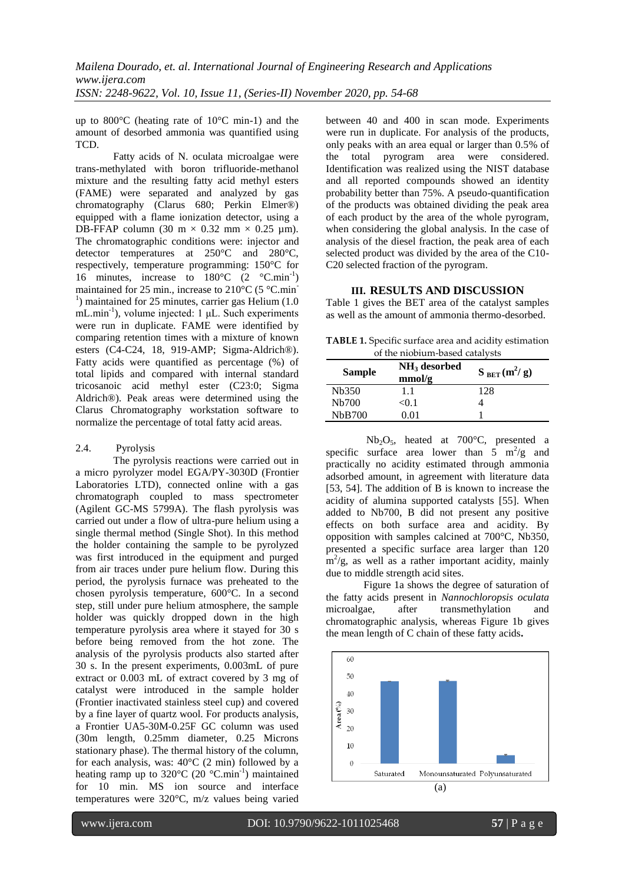up to 800°C (heating rate of 10°C min-1) and the amount of desorbed ammonia was quantified using TCD.

Fatty acids of N. oculata microalgae were trans-methylated with boron trifluoride-methanol mixture and the resulting fatty acid methyl esters (FAME) were separated and analyzed by gas chromatography (Clarus 680; Perkin Elmer®) equipped with a flame ionization detector, using a DB-FFAP column (30 m  $\times$  0.32 mm  $\times$  0.25 µm). The chromatographic conditions were: injector and detector temperatures at 250°C and 280°C, respectively, temperature programming: 150°C for 16 minutes, increase to  $180^{\circ}$ C  $(2 \degree \text{C.min}^{-1})$ maintained for 25 min., increase to 210°C (5 °C.min- $<sup>1</sup>$ ) maintained for 25 minutes, carrier gas Helium (1.0)</sup>  $mL.min<sup>-1</sup>$ , volume injected: 1  $\mu L$ . Such experiments were run in duplicate. FAME were identified by comparing retention times with a mixture of known esters (C4-C24, 18, 919-AMP; Sigma-Aldrich®). Fatty acids were quantified as percentage (%) of total lipids and compared with internal standard tricosanoic acid methyl ester (C23:0; Sigma Aldrich®). Peak areas were determined using the Clarus Chromatography workstation software to normalize the percentage of total fatty acid areas.

### 2.4. Pyrolysis

The pyrolysis reactions were carried out in a micro pyrolyzer model EGA/PY-3030D (Frontier Laboratories LTD), connected online with a gas chromatograph coupled to mass spectrometer (Agilent GC-MS 5799A). The flash pyrolysis was carried out under a flow of ultra-pure helium using a single thermal method (Single Shot). In this method the holder containing the sample to be pyrolyzed was first introduced in the equipment and purged from air traces under pure helium flow. During this period, the pyrolysis furnace was preheated to the chosen pyrolysis temperature, 600°C. In a second step, still under pure helium atmosphere, the sample holder was quickly dropped down in the high temperature pyrolysis area where it stayed for 30 s before being removed from the hot zone. The analysis of the pyrolysis products also started after 30 s. In the present experiments, 0.003mL of pure extract or 0.003 mL of extract covered by 3 mg of catalyst were introduced in the sample holder (Frontier inactivated stainless steel cup) and covered by a fine layer of quartz wool. For products analysis, a Frontier UA5-30M-0.25F GC column was used (30m length, 0.25mm diameter, 0.25 Microns stationary phase). The thermal history of the column, for each analysis, was: 40°C (2 min) followed by a heating ramp up to  $320^{\circ}$ C (20  $^{\circ}$ C.min<sup>-1</sup>) maintained for 10 min. MS ion source and interface temperatures were 320°C, m/z values being varied

between 40 and 400 in scan mode. Experiments were run in duplicate. For analysis of the products, only peaks with an area equal or larger than 0.5% of the total pyrogram area were considered. Identification was realized using the NIST database and all reported compounds showed an identity probability better than 75%. A pseudo-quantification of the products was obtained dividing the peak area of each product by the area of the whole pyrogram, when considering the global analysis. In the case of analysis of the diesel fraction, the peak area of each selected product was divided by the area of the C10- C20 selected fraction of the pyrogram.

### **III. RESULTS AND DISCUSSION**

Table 1 gives the BET area of the catalyst samples as well as the amount of ammonia thermo-desorbed.

**TABLE 1.** Specific surface area and acidity estimation of the niobium-based catalysts

| <b>Sample</b>      | $NH3$ desorbed<br>mmol/g | $S_{BET}(m^2/g)$ |
|--------------------|--------------------------|------------------|
| N <sub>b</sub> 350 | 1.1                      | 128              |
| N <sub>b</sub> 700 | <0.1                     |                  |
| <b>NbB700</b>      | O O1                     |                  |

Nb2O5, heated at 700°C, presented a specific surface area lower than  $5 \text{ m}^2/\text{g}$  and practically no acidity estimated through ammonia adsorbed amount, in agreement with literature data [53, 54]. The addition of B is known to increase the acidity of alumina supported catalysts [55]. When added to Nb700, B did not present any positive effects on both surface area and acidity. By opposition with samples calcined at 700°C, Nb350, presented a specific surface area larger than 120  $\text{m}^2/\text{g}$ , as well as a rather important acidity, mainly due to middle strength acid sites.

Figure 1a shows the degree of saturation of the fatty acids present in *Nannochloropsis oculata* microalgae, after transmethylation and chromatographic analysis, whereas Figure 1b gives the mean length of C chain of these fatty acids**.**

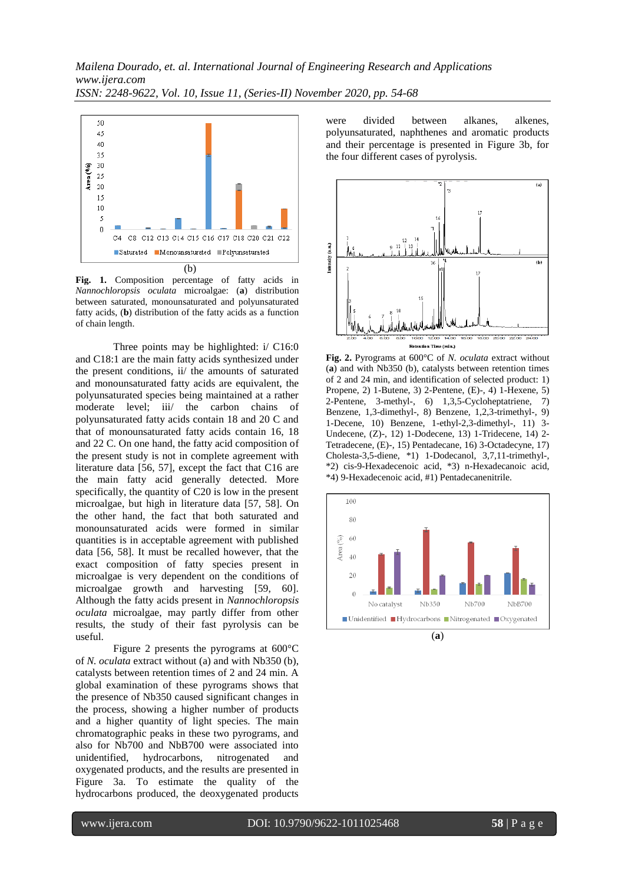*Mailena Dourado, et. al. International Journal of Engineering Research and Applications www.ijera.com ISSN: 2248-9622, Vol. 10, Issue 11, (Series-II) November 2020, pp. 54-68*



**Fig. 1.** Composition percentage of fatty acids in *Nannochloropsis oculata* microalgae: (**a**) distribution between saturated, monounsaturated and polyunsaturated fatty acids, (**b**) distribution of the fatty acids as a function of chain length.

Three points may be highlighted: i/ C16:0 and C18:1 are the main fatty acids synthesized under the present conditions, ii/ the amounts of saturated and monounsaturated fatty acids are equivalent, the polyunsaturated species being maintained at a rather moderate level; iii/ the carbon chains of polyunsaturated fatty acids contain 18 and 20 C and that of monounsaturated fatty acids contain 16, 18 and 22 C. On one hand, the fatty acid composition of the present study is not in complete agreement with literature data [56, 57], except the fact that C16 are the main fatty acid generally detected. More specifically, the quantity of C20 is low in the present microalgae, but high in literature data [57, 58]. On the other hand, the fact that both saturated and monounsaturated acids were formed in similar quantities is in acceptable agreement with published data [56, 58]. It must be recalled however, that the exact composition of fatty species present in microalgae is very dependent on the conditions of microalgae growth and harvesting [59, 60]. Although the fatty acids present in *Nannochloropsis oculata* microalgae, may partly differ from other results, the study of their fast pyrolysis can be useful.

Figure 2 presents the pyrograms at 600°C of *N. oculata* extract without (a) and with Nb350 (b), catalysts between retention times of 2 and 24 min. A global examination of these pyrograms shows that the presence of Nb350 caused significant changes in the process, showing a higher number of products and a higher quantity of light species. The main chromatographic peaks in these two pyrograms, and also for Nb700 and NbB700 were associated into unidentified, hydrocarbons, nitrogenated and oxygenated products, and the results are presented in Figure 3a. To estimate the quality of the hydrocarbons produced, the deoxygenated products

were divided between alkanes, alkenes, polyunsaturated, naphthenes and aromatic products and their percentage is presented in Figure 3b, for the four different cases of pyrolysis.



**Fig. 2.** Pyrograms at 600°C of *N. oculata* extract without (**a**) and with Nb350 (b), catalysts between retention times of 2 and 24 min, and identification of selected product: 1) Propene, 2) 1-Butene, 3) 2-Pentene, (E)-, 4) 1-Hexene, 5) 2-Pentene, 3-methyl-, 6) 1,3,5-Cycloheptatriene, 7) Benzene, 1,3-dimethyl-, 8) Benzene, 1,2,3-trimethyl-, 9) 1-Decene, 10) Benzene, 1-ethyl-2,3-dimethyl-, 11) 3- Undecene, (Z)-, 12) 1-Dodecene, 13) 1-Tridecene, 14) 2- Tetradecene, (E)-, 15) Pentadecane, 16) 3-Octadecyne, 17) Cholesta-3,5-diene, \*1) 1-Dodecanol, 3,7,11-trimethyl-, \*2) cis-9-Hexadecenoic acid, \*3) n-Hexadecanoic acid, \*4) 9-Hexadecenoic acid, #1) Pentadecanenitrile.

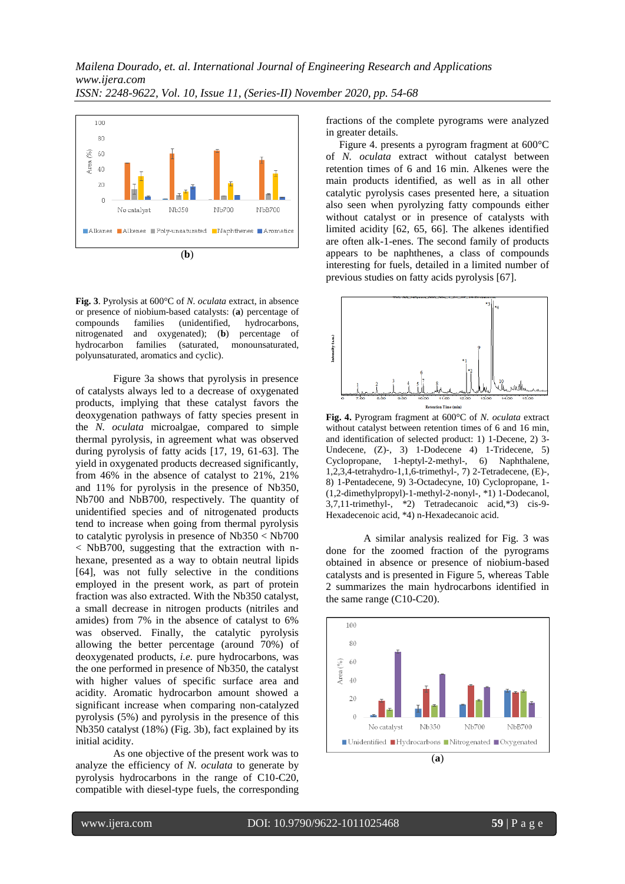

**Fig. 3**. Pyrolysis at 600°C of *N. oculata* extract, in absence or presence of niobium-based catalysts: (**a**) percentage of compounds families (unidentified, hydrocarbons, nitrogenated and oxygenated); (**b**) percentage of hydrocarbon families (saturated, monounsaturated, polyunsaturated, aromatics and cyclic).

Figure 3a shows that pyrolysis in presence of catalysts always led to a decrease of oxygenated products, implying that these catalyst favors the deoxygenation pathways of fatty species present in the *N. oculata* microalgae, compared to simple thermal pyrolysis, in agreement what was observed during pyrolysis of fatty acids [17, 19, 61-63]. The yield in oxygenated products decreased significantly, from 46% in the absence of catalyst to 21%, 21% and 11% for pyrolysis in the presence of Nb350, Nb700 and NbB700, respectively. The quantity of unidentified species and of nitrogenated products tend to increase when going from thermal pyrolysis to catalytic pyrolysis in presence of Nb350 < Nb700 < NbB700, suggesting that the extraction with nhexane, presented as a way to obtain neutral lipids [64], was not fully selective in the conditions employed in the present work, as part of protein fraction was also extracted. With the Nb350 catalyst, a small decrease in nitrogen products (nitriles and amides) from 7% in the absence of catalyst to 6% was observed. Finally, the catalytic pyrolysis allowing the better percentage (around 70%) of deoxygenated products, *i.e.* pure hydrocarbons, was the one performed in presence of Nb350, the catalyst with higher values of specific surface area and acidity. Aromatic hydrocarbon amount showed a significant increase when comparing non-catalyzed pyrolysis (5%) and pyrolysis in the presence of this Nb350 catalyst (18%) (Fig. 3b), fact explained by its initial acidity.

As one objective of the present work was to analyze the efficiency of *N. oculata* to generate by pyrolysis hydrocarbons in the range of C10-C20, compatible with diesel-type fuels, the corresponding

fractions of the complete pyrograms were analyzed in greater details.

 Figure 4. presents a pyrogram fragment at 600°C of *N. oculata* extract without catalyst between retention times of 6 and 16 min. Alkenes were the main products identified, as well as in all other catalytic pyrolysis cases presented here, a situation also seen when pyrolyzing fatty compounds either without catalyst or in presence of catalysts with limited acidity [62, 65, 66]. The alkenes identified are often alk-1-enes. The second family of products appears to be naphthenes, a class of compounds interesting for fuels, detailed in a limited number of previous studies on fatty acids pyrolysis [67].



**Fig. 4.** Pyrogram fragment at 600°C of *N. oculata* extract without catalyst between retention times of 6 and 16 min, and identification of selected product: 1) 1-Decene, 2) 3- Undecene, (Z)-, 3) 1-Dodecene 4) 1-Tridecene, 5) Cyclopropane, 1-heptyl-2-methyl-, 6) Naphthalene, 1,2,3,4-tetrahydro-1,1,6-trimethyl-, 7) 2-Tetradecene, (E)-, 8) 1-Pentadecene, 9) 3-Octadecyne, 10) Cyclopropane, 1- (1,2-dimethylpropyl)-1-methyl-2-nonyl-, \*1) 1-Dodecanol, 3,7,11-trimethyl-, \*2) Tetradecanoic acid,\*3) cis-9- Hexadecenoic acid, \*4) n-Hexadecanoic acid.

A similar analysis realized for Fig. 3 was done for the zoomed fraction of the pyrograms obtained in absence or presence of niobium-based catalysts and is presented in Figure 5, whereas Table 2 summarizes the main hydrocarbons identified in the same range (C10-C20).

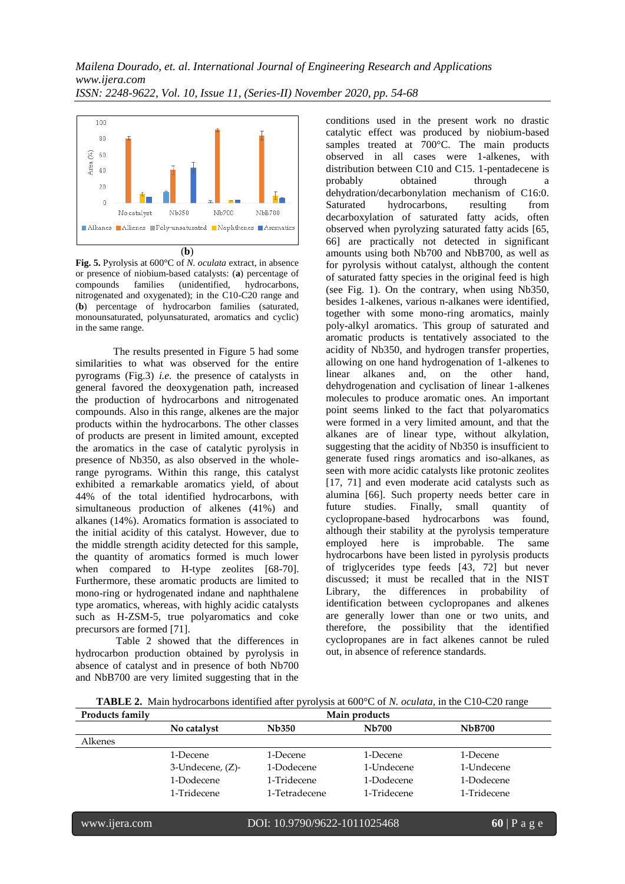

**Fig. 5.** Pyrolysis at 600°C of *N. oculata* extract, in absence or presence of niobium-based catalysts: (**a**) percentage of compounds families (unidentified, nitrogenated and oxygenated); in the C10-C20 range and (**b**) percentage of hydrocarbon families (saturated, monounsaturated, polyunsaturated, aromatics and cyclic) in the same range.

The results presented in Figure 5 had some similarities to what was observed for the entire pyrograms (Fig.3) *i.e.* the presence of catalysts in general favored the deoxygenation path, increased the production of hydrocarbons and nitrogenated compounds. Also in this range, alkenes are the major products within the hydrocarbons. The other classes of products are present in limited amount, excepted the aromatics in the case of catalytic pyrolysis in presence of Nb350, as also observed in the wholerange pyrograms. Within this range, this catalyst exhibited a remarkable aromatics yield, of about 44% of the total identified hydrocarbons, with simultaneous production of alkenes (41%) and alkanes (14%). Aromatics formation is associated to the initial acidity of this catalyst. However, due to the middle strength acidity detected for this sample, the quantity of aromatics formed is much lower when compared to H-type zeolites [68-70]. Furthermore, these aromatic products are limited to mono-ring or hydrogenated indane and naphthalene type aromatics, whereas, with highly acidic catalysts such as H-ZSM-5, true polyaromatics and coke precursors are formed [71].

 Table 2 showed that the differences in hydrocarbon production obtained by pyrolysis in absence of catalyst and in presence of both Nb700 and NbB700 are very limited suggesting that in the

conditions used in the present work no drastic catalytic effect was produced by niobium-based samples treated at 700°C. The main products observed in all cases were 1-alkenes, with distribution between C10 and C15. 1-pentadecene is probably obtained through dehydration/decarbonylation mechanism of C16:0. Saturated hydrocarbons, resulting from decarboxylation of saturated fatty acids, often observed when pyrolyzing saturated fatty acids [65, 66] are practically not detected in significant amounts using both Nb700 and NbB700, as well as for pyrolysis without catalyst, although the content of saturated fatty species in the original feed is high (see Fig. 1). On the contrary, when using Nb350, besides 1-alkenes, various n-alkanes were identified, together with some mono-ring aromatics, mainly poly-alkyl aromatics. This group of saturated and aromatic products is tentatively associated to the acidity of Nb350, and hydrogen transfer properties, allowing on one hand hydrogenation of 1-alkenes to linear alkanes and, on the other hand, dehydrogenation and cyclisation of linear 1-alkenes molecules to produce aromatic ones. An important point seems linked to the fact that polyaromatics were formed in a very limited amount, and that the alkanes are of linear type, without alkylation, suggesting that the acidity of Nb350 is insufficient to generate fused rings aromatics and iso-alkanes, as seen with more acidic catalysts like protonic zeolites [17, 71] and even moderate acid catalysts such as alumina [66]. Such property needs better care in future studies. Finally, small quantity of cyclopropane-based hydrocarbons was found, although their stability at the pyrolysis temperature employed here is improbable. The same hydrocarbons have been listed in pyrolysis products of triglycerides type feeds [43, 72] but never discussed; it must be recalled that in the NIST Library, the differences in probability of identification between cyclopropanes and alkenes are generally lower than one or two units, and therefore, the possibility that the identified cyclopropanes are in fact alkenes cannot be ruled out, in absence of reference standards.

**TABLE 2.** Main hydrocarbons identified after pyrolysis at 600°C of *N. oculata*, in the C10-C20 range

| <b>Products family</b> | Main products    |               |              |               |
|------------------------|------------------|---------------|--------------|---------------|
|                        | No catalyst      | <b>Nb350</b>  | <b>Nb700</b> | <b>NbB700</b> |
| Alkenes                |                  |               |              |               |
|                        | 1-Decene         | 1-Decene      | 1-Decene     | 1-Decene      |
|                        | 3-Undecene, (Z)- | 1-Dodecene    | 1-Undecene   | 1-Undecene    |
|                        | 1-Dodecene       | 1-Tridecene   | 1-Dodecene   | 1-Dodecene    |
|                        | 1-Tridecene      | 1-Tetradecene | 1-Tridecene  | 1-Tridecene   |
|                        |                  |               |              |               |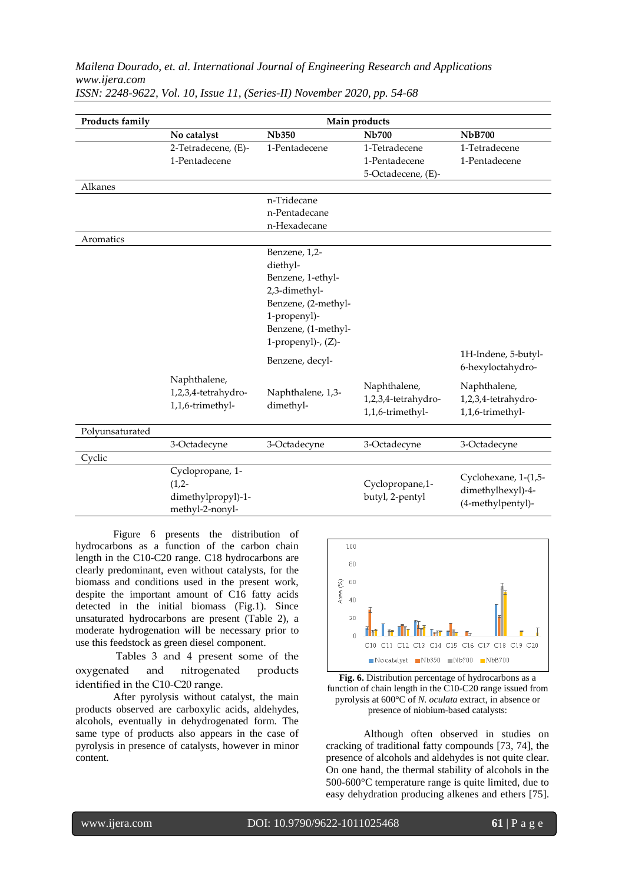# *Mailena Dourado, et. al. International Journal of Engineering Research and Applications www.ijera.com*

| Products family | Main products       |                       |                                         |                      |  |
|-----------------|---------------------|-----------------------|-----------------------------------------|----------------------|--|
|                 | No catalyst         | <b>Nb350</b>          | <b>Nb700</b>                            | <b>NbB700</b>        |  |
|                 | 2-Tetradecene, (E)- | 1-Pentadecene         | 1-Tetradecene                           | 1-Tetradecene        |  |
|                 | 1-Pentadecene       |                       | 1-Pentadecene                           | 1-Pentadecene        |  |
|                 |                     |                       | 5-Octadecene, (E)-                      |                      |  |
| Alkanes         |                     |                       |                                         |                      |  |
|                 |                     | n-Tridecane           |                                         |                      |  |
|                 |                     | n-Pentadecane         |                                         |                      |  |
|                 |                     | n-Hexadecane          |                                         |                      |  |
| Aromatics       |                     |                       |                                         |                      |  |
|                 |                     | Benzene, 1,2-         |                                         |                      |  |
|                 |                     | diethyl-              |                                         |                      |  |
|                 |                     | Benzene, 1-ethyl-     |                                         |                      |  |
|                 |                     | 2,3-dimethyl-         |                                         |                      |  |
|                 |                     | Benzene, (2-methyl-   |                                         |                      |  |
|                 |                     | 1-propenyl)-          |                                         |                      |  |
|                 |                     | Benzene, (1-methyl-   |                                         |                      |  |
|                 |                     | 1-propenyl)-, $(Z)$ - |                                         |                      |  |
|                 |                     |                       |                                         | 1H-Indene, 5-butyl-  |  |
|                 |                     | Benzene, decyl-       |                                         | 6-hexyloctahydro-    |  |
|                 | Naphthalene,        |                       |                                         |                      |  |
|                 | 1,2,3,4-tetrahydro- | Naphthalene, 1,3-     | Naphthalene,                            | Naphthalene,         |  |
|                 | 1,1,6-trimethyl-    | dimethyl-             | 1,2,3,4-tetrahydro-<br>1,1,6-trimethyl- | 1,2,3,4-tetrahydro-  |  |
|                 |                     |                       |                                         | 1,1,6-trimethyl-     |  |
| Polyunsaturated |                     |                       |                                         |                      |  |
|                 | 3-Octadecyne        | 3-Octadecyne          | 3-Octadecyne                            | 3-Octadecyne         |  |
| Cyclic          |                     |                       |                                         |                      |  |
|                 | Cyclopropane, 1-    |                       |                                         | Cyclohexane, 1-(1,5- |  |
|                 | $(1,2-$             |                       | Cyclopropane, 1-                        | dimethylhexyl)-4-    |  |
|                 | dimethylpropyl)-1-  | butyl, 2-pentyl       |                                         | (4-methylpentyl)-    |  |
|                 | methyl-2-nonyl-     |                       |                                         |                      |  |

*ISSN: 2248-9622, Vol. 10, Issue 11, (Series-II) November 2020, pp. 54-68*

Figure 6 presents the distribution of hydrocarbons as a function of the carbon chain length in the C10-C20 range. C18 hydrocarbons are clearly predominant, even without catalysts, for the biomass and conditions used in the present work, despite the important amount of C16 fatty acids detected in the initial biomass (Fig.1). Since unsaturated hydrocarbons are present (Table 2), a moderate hydrogenation will be necessary prior to use this feedstock as green diesel component.

 Tables 3 and 4 present some of the oxygenated and nitrogenated products identified in the C10-C20 range.

 After pyrolysis without catalyst, the main products observed are carboxylic acids, aldehydes, alcohols, eventually in dehydrogenated form. The same type of products also appears in the case of pyrolysis in presence of catalysts, however in minor content.



**Fig. 6.** Distribution percentage of hydrocarbons as a function of chain length in the C10-C20 range issued from pyrolysis at 600°C of *N. oculata* extract, in absence or presence of niobium-based catalysts:

Although often observed in studies on cracking of traditional fatty compounds [73, 74], the presence of alcohols and aldehydes is not quite clear. On one hand, the thermal stability of alcohols in the 500-600°C temperature range is quite limited, due to easy dehydration producing alkenes and ethers [75].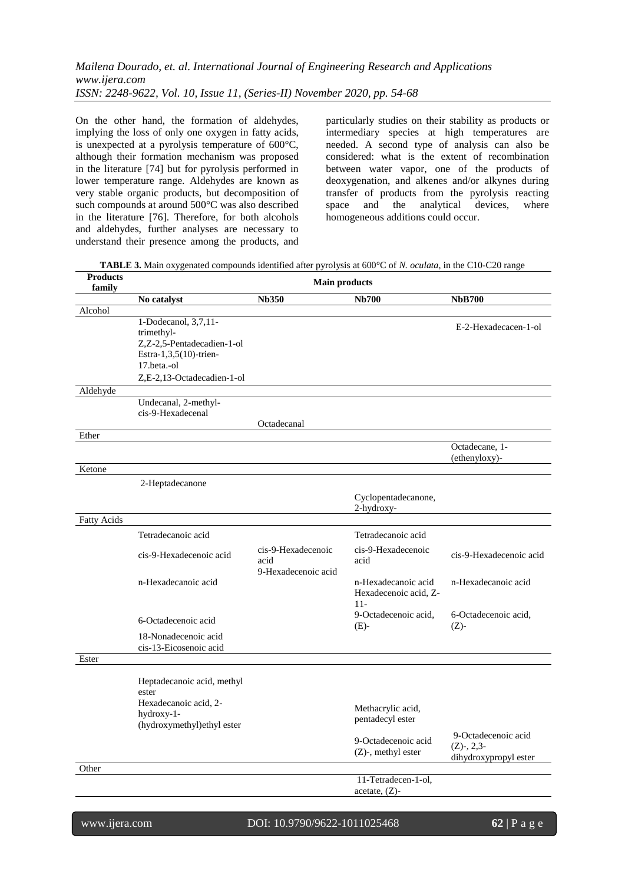# *Mailena Dourado, et. al. International Journal of Engineering Research and Applications www.ijera.com ISSN: 2248-9622, Vol. 10, Issue 11, (Series-II) November 2020, pp. 54-68*

On the other hand, the formation of aldehydes, implying the loss of only one oxygen in fatty acids, is unexpected at a pyrolysis temperature of 600°C, although their formation mechanism was proposed in the literature [74] but for pyrolysis performed in lower temperature range. Aldehydes are known as very stable organic products, but decomposition of such compounds at around 500°C was also described in the literature [76]. Therefore, for both alcohols and aldehydes, further analyses are necessary to understand their presence among the products, and

particularly studies on their stability as products or intermediary species at high temperatures are needed. A second type of analysis can also be considered: what is the extent of recombination between water vapor, one of the products of deoxygenation, and alkenes and/or alkynes during transfer of products from the pyrolysis reacting space and the analytical devices, where homogeneous additions could occur.

**TABLE 3.** Main oxygenated compounds identified after pyrolysis at 600°C of *N. oculata*, in the C10-C20 range

| <b>Products</b>    | <b>Main products</b><br>family<br><b>Nb350</b><br><b>Nb700</b><br>No catalyst                             |                                                   |                                                       |                                                               |
|--------------------|-----------------------------------------------------------------------------------------------------------|---------------------------------------------------|-------------------------------------------------------|---------------------------------------------------------------|
|                    |                                                                                                           |                                                   |                                                       | <b>NbB700</b>                                                 |
| Alcohol            |                                                                                                           |                                                   |                                                       |                                                               |
|                    | 1-Dodecanol, 3,7,11-<br>trimethyl-<br>Z,Z-2,5-Pentadecadien-1-ol<br>Estra-1,3,5(10)-trien-<br>17.beta.-ol |                                                   |                                                       | E-2-Hexadecacen-1-ol                                          |
|                    | Z.E-2.13-Octadecadien-1-ol                                                                                |                                                   |                                                       |                                                               |
| Aldehyde           | Undecanal, 2-methyl-<br>cis-9-Hexadecenal                                                                 | Octadecanal                                       |                                                       |                                                               |
| Ether              |                                                                                                           |                                                   |                                                       |                                                               |
|                    |                                                                                                           |                                                   |                                                       | Octadecane, 1-<br>(ethenyloxy)-                               |
| Ketone             |                                                                                                           |                                                   |                                                       |                                                               |
|                    | 2-Heptadecanone                                                                                           |                                                   |                                                       |                                                               |
|                    |                                                                                                           |                                                   | Cyclopentadecanone,<br>2-hydroxy-                     |                                                               |
| <b>Fatty Acids</b> |                                                                                                           |                                                   |                                                       |                                                               |
|                    | Tetradecanoic acid                                                                                        |                                                   | Tetradecanoic acid                                    |                                                               |
|                    | cis-9-Hexadecenoic acid                                                                                   | cis-9-Hexadecenoic<br>acid<br>9-Hexadecenoic acid | cis-9-Hexadecenoic<br>acid                            | cis-9-Hexadecenoic acid                                       |
|                    | n-Hexadecanoic acid                                                                                       |                                                   | n-Hexadecanoic acid<br>Hexadecenoic acid, Z-<br>$11-$ | n-Hexadecanoic acid                                           |
|                    | 6-Octadecenoic acid                                                                                       |                                                   | 9-Octadecenoic acid,<br>$(E)-$                        | 6-Octadecenoic acid,<br>$(Z)-$                                |
|                    | 18-Nonadecenoic acid<br>cis-13-Eicosenoic acid                                                            |                                                   |                                                       |                                                               |
| Ester              |                                                                                                           |                                                   |                                                       |                                                               |
|                    | Heptadecanoic acid, methyl<br>ester<br>Hexadecanoic acid, 2-<br>hydroxy-1-<br>(hydroxymethyl)ethyl ester  |                                                   | Methacrylic acid,<br>pentadecyl ester                 |                                                               |
|                    |                                                                                                           |                                                   | 9-Octadecenoic acid<br>(Z)-, methyl ester             | 9-Octadecenoic acid<br>$(Z)$ -, 2,3-<br>dihydroxypropyl ester |
| Other              |                                                                                                           |                                                   |                                                       |                                                               |
|                    |                                                                                                           |                                                   | 11-Tetradecen-1-ol,<br>$acetate, (Z)$ -               |                                                               |
|                    |                                                                                                           |                                                   |                                                       |                                                               |

Ī

### www.ijera.com DOI: 10.9790/9622-1011025468 **62** | P a g e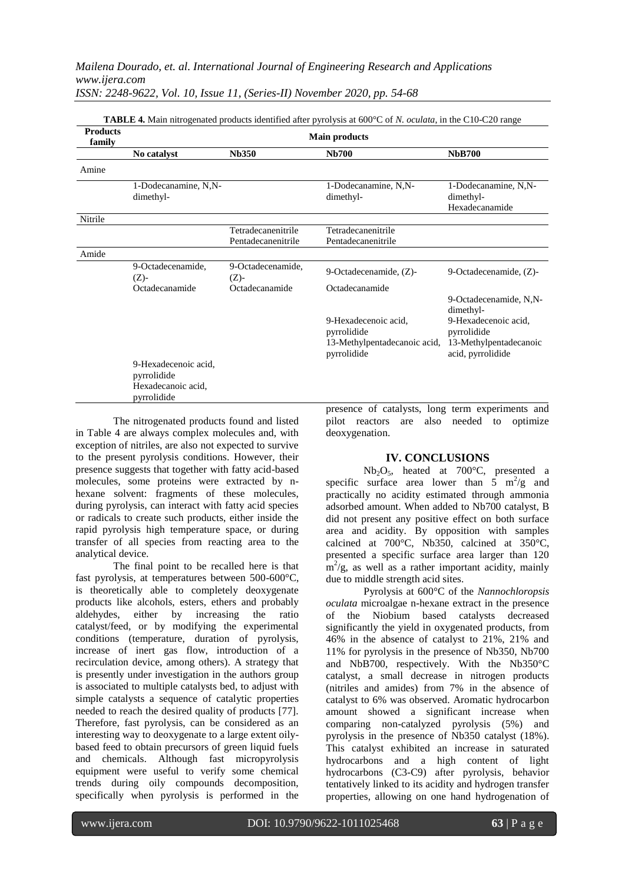| <b>Products</b><br>family | <b>TABLE 4.</b> Main nitrogenated products identified after pyrolysis at 600°C of N. oculata, in the C10-C20 range<br><b>Main products</b> |                                          |                                                                                    |                                                                                                                           |
|---------------------------|--------------------------------------------------------------------------------------------------------------------------------------------|------------------------------------------|------------------------------------------------------------------------------------|---------------------------------------------------------------------------------------------------------------------------|
|                           | No catalyst                                                                                                                                | <b>Nb350</b>                             | <b>Nb700</b>                                                                       | <b>NbB700</b>                                                                                                             |
| Amine                     |                                                                                                                                            |                                          |                                                                                    |                                                                                                                           |
|                           | 1-Dodecanamine, N,N-<br>dimethyl-                                                                                                          |                                          | 1-Dodecanamine, N,N-<br>dimethyl-                                                  | 1-Dodecanamine, N,N-<br>dimethyl-<br>Hexadecanamide                                                                       |
| Nitrile                   |                                                                                                                                            |                                          |                                                                                    |                                                                                                                           |
|                           |                                                                                                                                            | Tetradecanenitrile<br>Pentadecanenitrile | Tetradecanenitrile<br>Pentadecanenitrile                                           |                                                                                                                           |
| Amide                     |                                                                                                                                            |                                          |                                                                                    |                                                                                                                           |
|                           | 9-Octadecenamide,<br>$(Z)-$                                                                                                                | 9-Octadecenamide,<br>$(Z)-$              | 9-Octadecenamide, (Z)-                                                             | 9-Octadecenamide, (Z)-                                                                                                    |
|                           | Octadecanamide                                                                                                                             | Octadecanamide                           | Octadecanamide                                                                     |                                                                                                                           |
|                           |                                                                                                                                            |                                          | 9-Hexadecenoic acid,<br>pyrrolidide<br>13-Methylpentadecanoic acid,<br>pyrrolidide | 9-Octadecenamide, N.N-<br>dimethyl-<br>9-Hexadecenoic acid,<br>pyrrolidide<br>13-Methylpentadecanoic<br>acid, pyrrolidide |
|                           | 9-Hexadecenoic acid.<br>pyrrolidide<br>Hexadecanoic acid,<br>pyrrolidide                                                                   |                                          |                                                                                    |                                                                                                                           |

The nitrogenated products found and listed in Table 4 are always complex molecules and, with exception of nitriles, are also not expected to survive to the present pyrolysis conditions. However, their presence suggests that together with fatty acid-based molecules, some proteins were extracted by nhexane solvent: fragments of these molecules, during pyrolysis, can interact with fatty acid species or radicals to create such products, either inside the rapid pyrolysis high temperature space, or during transfer of all species from reacting area to the analytical device.

The final point to be recalled here is that fast pyrolysis, at temperatures between 500-600°C, is theoretically able to completely deoxygenate products like alcohols, esters, ethers and probably aldehydes, either by increasing the ratio catalyst/feed, or by modifying the experimental conditions (temperature, duration of pyrolysis, increase of inert gas flow, introduction of a recirculation device, among others). A strategy that is presently under investigation in the authors group is associated to multiple catalysts bed, to adjust with simple catalysts a sequence of catalytic properties needed to reach the desired quality of products [77]. Therefore, fast pyrolysis, can be considered as an interesting way to deoxygenate to a large extent oilybased feed to obtain precursors of green liquid fuels and chemicals. Although fast micropyrolysis equipment were useful to verify some chemical trends during oily compounds decomposition, specifically when pyrolysis is performed in the

presence of catalysts, long term experiments and pilot reactors are also needed to optimize deoxygenation.

### **IV. CONCLUSIONS**

Nb2O5, heated at 700°C, presented a specific surface area lower than  $5 \text{ m}^2/\text{g}$  and practically no acidity estimated through ammonia adsorbed amount. When added to Nb700 catalyst, B did not present any positive effect on both surface area and acidity. By opposition with samples calcined at 700°C, Nb350, calcined at 350°C, presented a specific surface area larger than 120  $\text{m}^2/\text{g}$ , as well as a rather important acidity, mainly due to middle strength acid sites.

Pyrolysis at 600°C of the *Nannochloropsis oculata* microalgae n-hexane extract in the presence of the Niobium based catalysts decreased significantly the yield in oxygenated products, from 46% in the absence of catalyst to 21%, 21% and 11% for pyrolysis in the presence of Nb350, Nb700 and NbB700, respectively. With the Nb350°C catalyst, a small decrease in nitrogen products (nitriles and amides) from 7% in the absence of catalyst to 6% was observed. Aromatic hydrocarbon amount showed a significant increase when comparing non-catalyzed pyrolysis (5%) and pyrolysis in the presence of Nb350 catalyst (18%). This catalyst exhibited an increase in saturated hydrocarbons and a high content of light hydrocarbons (C3-C9) after pyrolysis, behavior tentatively linked to its acidity and hydrogen transfer properties, allowing on one hand hydrogenation of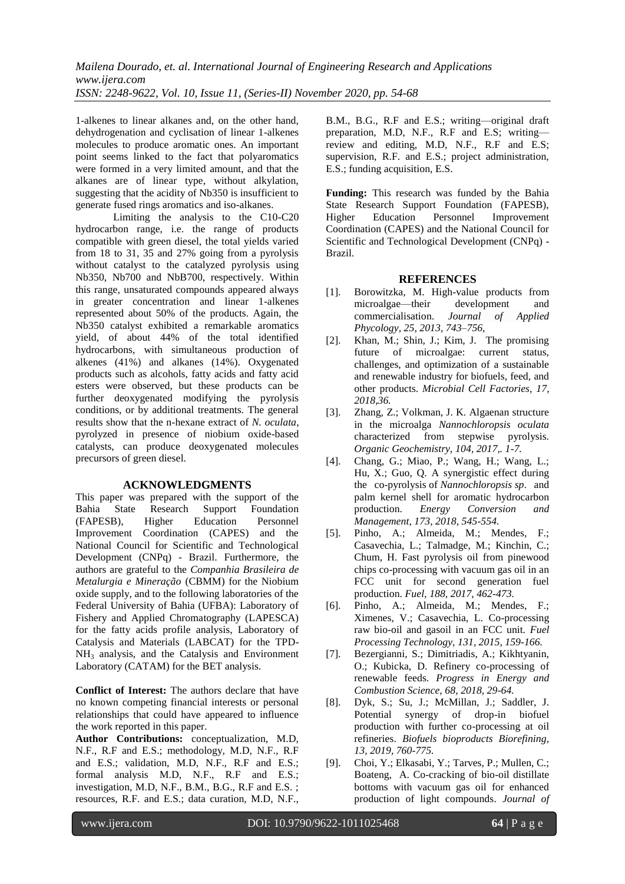1-alkenes to linear alkanes and, on the other hand, dehydrogenation and cyclisation of linear 1-alkenes molecules to produce aromatic ones. An important point seems linked to the fact that polyaromatics were formed in a very limited amount, and that the alkanes are of linear type, without alkylation, suggesting that the acidity of Nb350 is insufficient to generate fused rings aromatics and iso-alkanes.

Limiting the analysis to the C10-C20 hydrocarbon range, i.e. the range of products compatible with green diesel, the total yields varied from 18 to 31, 35 and 27% going from a pyrolysis without catalyst to the catalyzed pyrolysis using Nb350, Nb700 and NbB700, respectively. Within this range, unsaturated compounds appeared always in greater concentration and linear 1-alkenes represented about 50% of the products. Again, the Nb350 catalyst exhibited a remarkable aromatics yield, of about 44% of the total identified hydrocarbons, with simultaneous production of alkenes (41%) and alkanes (14%). Oxygenated products such as alcohols, fatty acids and fatty acid esters were observed, but these products can be further deoxygenated modifying the pyrolysis conditions, or by additional treatments. The general results show that the n-hexane extract of *N. oculata*, pyrolyzed in presence of niobium oxide-based catalysts, can produce deoxygenated molecules precursors of green diesel.

### **ACKNOWLEDGMENTS**

This paper was prepared with the support of the Bahia State Research Support Foundation (FAPESB), Higher Education Personnel Improvement Coordination (CAPES) and the National Council for Scientific and Technological Development (CNPq) - Brazil. Furthermore, the authors are grateful to the *Companhia Brasileira de Metalurgia e Mineração* (CBMM) for the Niobium oxide supply, and to the following laboratories of the Federal University of Bahia (UFBA): Laboratory of Fishery and Applied Chromatography (LAPESCA) for the fatty acids profile analysis, Laboratory of Catalysis and Materials (LABCAT) for the TPD-NH<sup>3</sup> analysis, and the Catalysis and Environment Laboratory (CATAM) for the BET analysis.

**Conflict of Interest:** The authors declare that have no known competing financial interests or personal relationships that could have appeared to influence the work reported in this paper.

**Author Contributions:** conceptualization, M.D, N.F., R.F and E.S.; methodology, M.D, N.F., R.F and E.S.; validation, M.D, N.F., R.F and E.S.; formal analysis M.D, N.F., R.F and E.S.; investigation, M.D, N.F., B.M., B.G., R.F and E.S. ; resources, R.F. and E.S.; data curation, M.D, N.F.,

B.M., B.G., R.F and E.S.; writing—original draft preparation, M.D, N.F., R.F and E.S; writing review and editing, M.D, N.F., R.F and E.S; supervision, R.F. and E.S.; project administration, E.S.; funding acquisition, E.S.

**Funding:** This research was funded by the Bahia State Research Support Foundation (FAPESB), Higher Education Personnel Improvement Coordination (CAPES) and the National Council for Scientific and Technological Development (CNPq) - Brazil.

### **REFERENCES**

- [1]. Borowitzka, M. High-value products from microalgae—their development and commercialisation. *[Journal of Applied](https://link.springer.com/journal/10811)  [Phycology,](https://link.springer.com/journal/10811) 25, 2013, 743–756,*
- [2]. Khan, M.; Shin, J.; Kim, J. The promising future of microalgae: current status, challenges, and optimization of a sustainable and renewable industry for biofuels, feed, and other products. *Microbial Cell Factories, 17, 2018,36.*
- [3]. Zhang, Z.; Volkman, J. K. Algaenan structure in the microalga *Nannochloropsis oculata* characterized from stepwise pyrolysis. *Organic Geochemistry, 104, 2017,. 1-7.*
- [4]. Chang, G.; Miao, P.; Wang, H.; Wang, L.; Hu, X.; Guo, Q. A synergistic effect during the co-pyrolysis of *Nannochloropsis sp*. and palm kernel shell for aromatic hydrocarbon production. *Energy Conversion and Management, 173, 2018, 545-554.*
- [5]. Pinho, A.; Almeida, M.; Mendes, F.; Casavechia, L.; Talmadge, M.; Kinchin, C.; Chum, H. Fast pyrolysis oil from pinewood chips co-processing with vacuum gas oil in an FCC unit for second generation fuel production. *Fuel, 188, 2017, 462-473.*
- [6]. Pinho, A.; Almeida, M.; Mendes, F.; Ximenes, V.; Casavechia, L. Co-processing raw bio-oil and gasoil in an FCC unit. *Fuel Processing Technology, 131, 2015, 159-166.*
- [7]. Bezergianni, S.; Dimitriadis, A.; Kikhtyanin, O.; Kubicka, D. Refinery co-processing of renewable feeds. *Progress in Energy and Combustion Science, 68, 2018, 29-64.*
- [8]. Dyk, S.; Su, J.; McMillan, J.; Saddler, J. Potential synergy of drop-in biofuel production with further co-processing at oil refineries. *Biofuels bioproducts Biorefining, 13, 2019, 760-775.*
- [9]. Choi, Y.; Elkasabi, Y.; Tarves, P.; Mullen, C.; Boateng, A. Co-cracking of bio-oil distillate bottoms with vacuum gas oil for enhanced production of light compounds. *Journal of*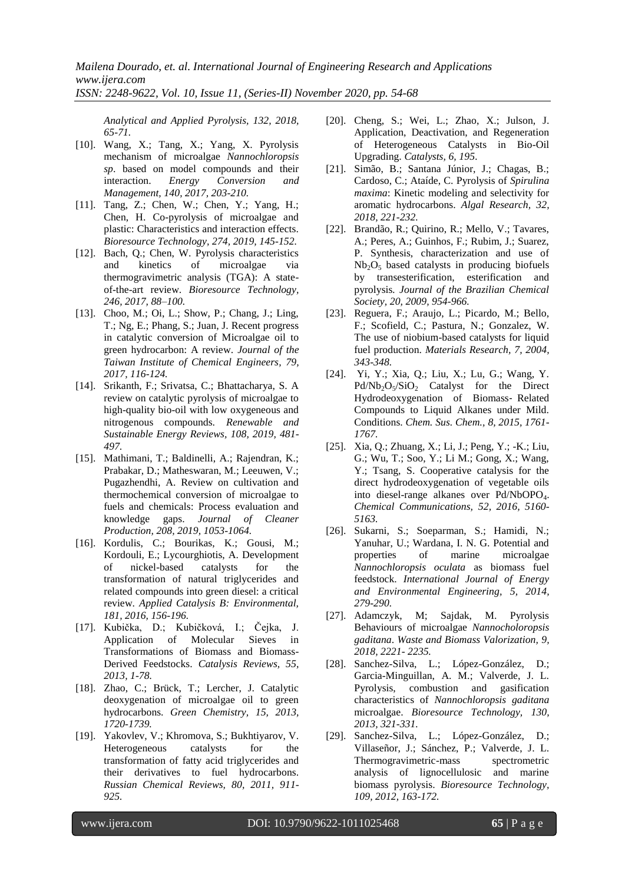*Analytical and Applied Pyrolysis, 132, 2018, 65-71.*

- [10]. Wang, X.; Tang, X.; Yang, X. Pyrolysis mechanism of microalgae *Nannochloropsis sp*. based on model compounds and their interaction. *Energy Conversion and Management, 140, 2017, 203-210.*
- [11]. Tang, Z.; Chen, W.; Chen, Y.; Yang, H.; Chen, H. Co-pyrolysis of microalgae and plastic: Characteristics and interaction effects. *Bioresource Technology, 274, 2019, 145-152.*
- [12]. Bach, Q.; Chen, W. Pyrolysis characteristics and kinetics of microalgae via thermogravimetric analysis (TGA): A stateof-the-art review. *Bioresource Technology, 246, 2017, 88–100.*
- [13]. Choo, M.; Oi, L.; Show, P.; Chang, J.; Ling, T.; Ng, E.; Phang, S.; Juan, J. Recent progress in catalytic conversion of Microalgae oil to green hydrocarbon: A review. *[Journal of the](https://www.sciencedirect.com/science/journal/18761070)  [Taiwan Institute of Chemical Engineers,](https://www.sciencedirect.com/science/journal/18761070) 79, 2017, 116-124.*
- [14]. Srikanth, F.; Srivatsa, C.; Bhattacharya, S. A review on catalytic pyrolysis of microalgae to high-quality bio-oil with low oxygeneous and nitrogenous compounds. *[Renewable and](https://www.sciencedirect.com/science/journal/13640321)  [Sustainable Energy Reviews,](https://www.sciencedirect.com/science/journal/13640321) 108, 2019, 481- 497.*
- [15]. Mathimani, T.; Baldinelli, A.; Rajendran, K.; Prabakar, D.; Matheswaran, M.; Leeuwen, V.; Pugazhendhi, A. Review on cultivation and thermochemical conversion of microalgae to fuels and chemicals: Process evaluation and knowledge gaps. *Journal of Cleaner Production, 208, 2019, 1053-1064.*
- [16]. Kordulis, C.; Bourikas, K.; Gousi, M.; Kordouli, E.; Lycourghiotis, A. Development of nickel-based catalysts for the transformation of natural triglycerides and related compounds into green diesel: a critical review. *Applied Catalysis B: Environmental, 181, 2016, 156-196.*
- [17]. Kubička, D.; Kubičková, I.; Čejka, J. Application of Molecular Sieves in Transformations of Biomass and Biomass-Derived Feedstocks. *Catalysis Reviews, 55, 2013, 1-78.*
- [18]. Zhao, C.; Brück, T.; Lercher, J. Catalytic deoxygenation of microalgae oil to green hydrocarbons. *Green Chemistry, 15, 2013, 1720-1739.*
- [19]. Yakovlev, V.; Khromova, S.; Bukhtiyarov, V. Heterogeneous catalysts for the transformation of fatty acid triglycerides and their derivatives to fuel hydrocarbons. *Russian Chemical Reviews, 80, 2011, 911- 925.*
- [20]. Cheng, S.; Wei, L.; Zhao, X.; Julson, J. Application, Deactivation, and Regeneration of Heterogeneous Catalysts in Bio-Oil Upgrading. *Catalysts, 6, 195.*
- [21]. Simão, B.; Santana Júnior, J.; Chagas, B.; Cardoso, C.; Ataíde, C. Pyrolysis of *Spirulina maxima*: Kinetic modeling and selectivity for aromatic hydrocarbons. *Algal Research, 32, 2018, 221-232.*
- [22]. Brandão, R.; Quirino, R.; Mello, V.; Tavares, A.; Peres, A.; Guinhos, F.; Rubim, J.; Suarez, P. Synthesis, characterization and use of  $Nb<sub>2</sub>O<sub>5</sub>$  based catalysts in producing biofuels by transesterification, esterification and pyrolysis*. Journal of the Brazilian Chemical Society, 20, 2009, 954-966.*
- [23]. Reguera, F.; Araujo, L.; Picardo, M.; Bello, F.; Scofield, C.; Pastura, N.; Gonzalez, W. The use of niobium-based catalysts for liquid fuel production. *Materials Research, 7, 2004, 343-348.*
- [24]. Yi, Y.; Xia, Q.; Liu, X.; Lu, G.; Wang, Y.  $Pd/Nb_2O<sub>5</sub>/SiO<sub>2</sub>$  Catalyst for the Direct Hydrodeoxygenation of Biomass‐ Related Compounds to Liquid Alkanes under Mild. Conditions. *Chem. Sus. Chem., 8, 2015, 1761- 1767.*
- [25]. Xia, Q.; Zhuang, X.; Li, J.; Peng, Y.; -K.; Liu, G.; Wu, T.; Soo, Y.; Li M.; Gong, X.; Wang, Y.; Tsang, S. Cooperative catalysis for the direct hydrodeoxygenation of vegetable oils into diesel-range alkanes over Pd/NbOPO<sub>4</sub>. *Chemical Communications, 52, 2016, 5160- 5163.*
- [26]. Sukarni, S.; Soeparman, S.; Hamidi, N.; Yanuhar, U.; Wardana, I. N. G. Potential and properties of marine microalgae *Nannochloropsis oculata* as biomass fuel feedstock. *International Journal of Energy and Environmental Engineering, 5, 2014, 279-290.*
- [27]. Adamczyk, M; Sajdak, M. Pyrolysis Behaviours of microalgae *Nannocholoropsis gaditana*. *Waste and Biomass Valorization, 9, 2018, 2221- 2235.*
- [28]. Sanchez-Silva, L.; López-González, D.; Garcia-Minguillan, A. M.; Valverde, J. L. Pyrolysis, combustion and gasification characteristics of *Nannochloropsis gaditana* microalgae. *Bioresource Technology, 130, 2013, 321-331.*
- [29]. Sanchez-Silva, L.; López-González, D.; Villaseñor, J.; Sánchez, P.; Valverde, J. L. Thermogravimetric-mass spectrometric analysis of lignocellulosic and marine biomass pyrolysis. *Bioresource Technology, 109, 2012, 163-172.*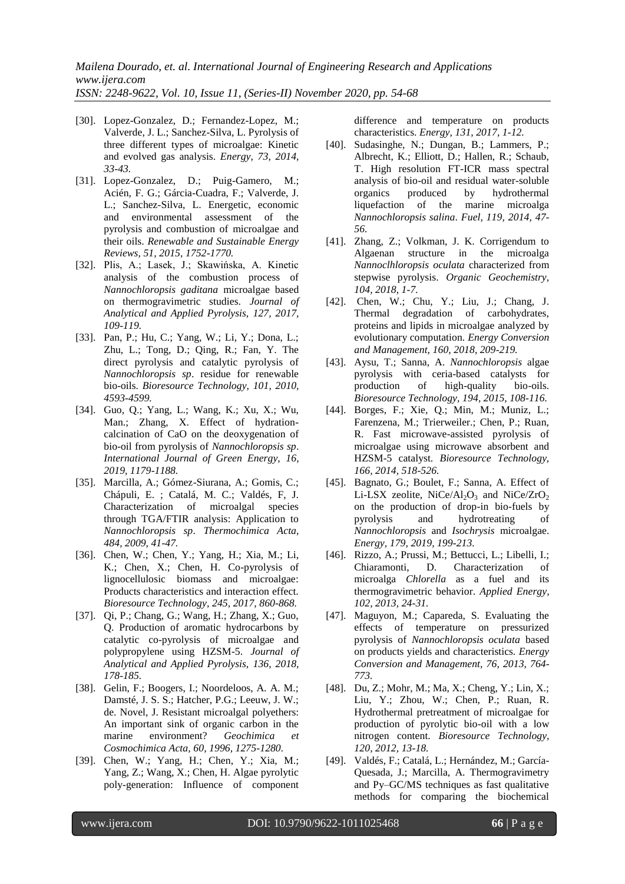- [30]. Lopez-Gonzalez, D.; Fernandez-Lopez, M.; Valverde, J. L.; Sanchez-Silva, L. Pyrolysis of three different types of microalgae: Kinetic and evolved gas analysis. *Energy, 73, 2014, 33-43.*
- [31]. Lopez-Gonzalez, D.; Puig-Gamero, M.; Acién, F. G.; Gárcia-Cuadra, F.; Valverde, J. L.; Sanchez-Silva, L. Energetic, economic and environmental assessment of the pyrolysis and combustion of microalgae and their oils. *Renewable and Sustainable Energy Reviews, 51, 2015, 1752-1770.*
- [32]. Plis, A.; Lasek, J.; Skawińska, A. Kinetic analysis of the combustion process of *Nannochloropsis gaditana* microalgae based on thermogravimetric studies. *Journal of Analytical and Applied Pyrolysis, 127, 2017, 109-119.*
- [33]. Pan, P.; Hu, C.; Yang, W.; Li, Y.; Dona, L.; Zhu, L.; Tong, D.; Qing, R.; Fan, Y. The direct pyrolysis and catalytic pyrolysis of *Nannochloropsis sp*. residue for renewable bio-oils. *Bioresource Technology, 101, 2010, 4593-4599.*
- [34]. Guo, Q.; Yang, L.; Wang, K.; Xu, X.; Wu, Man.; Zhang, X. Effect of hydrationcalcination of CaO on the deoxygenation of bio-oil from pyrolysis of *Nannochloropsis sp*. *International Journal of Green Energy, 16, 2019, 1179-1188.*
- [35]. Marcilla, A.; Gómez-Siurana, A.; Gomis, C.; Chápuli, E. ; Catalá, M. C.; Valdés, F, J. Characterization of microalgal species through TGA/FTIR analysis: Application to *Nannochloropsis sp*. *Thermochimica Acta, 484, 2009, 41-47.*
- [36]. Chen, W.; Chen, Y.; Yang, H.; Xia, M.; Li, K.; Chen, X.; Chen, H. Co-pyrolysis of lignocellulosic biomass and microalgae: Products characteristics and interaction effect. *Bioresource Technology, 245, 2017, 860-868.*
- [37]. Qi, P.; Chang, G.; Wang, H.; Zhang, X.; Guo, Q. Production of aromatic hydrocarbons by catalytic co-pyrolysis of microalgae and polypropylene using HZSM-5. *Journal of Analytical and Applied Pyrolysis, 136, 2018, 178-185.*
- [38]. Gelin, F.; Boogers, I.; Noordeloos, A. A. M.; Damsté, J. S. S.; Hatcher, P.G.; Leeuw, J. W.; de. Novel, J. Resistant microalgal polyethers: An important sink of organic carbon in the marine environment? *Geochimica et Cosmochimica Acta, 60, 1996, 1275-1280.*
- [39]. Chen, W.; Yang, H.; Chen, Y.; Xia, M.; Yang, Z.; Wang, X.; Chen, H. Algae pyrolytic poly-generation: Influence of component

difference and temperature on products characteristics. *Energy, 131, 2017, 1-12.*

- [40]. Sudasinghe, N.; Dungan, B.; Lammers, P.; Albrecht, K.; Elliott, D.; Hallen, R.; Schaub, T. High resolution FT-ICR mass spectral analysis of bio-oil and residual water-soluble<br>organics produced by hydrothermal organics produced by hydrothermal liquefaction of the marine microalga *Nannochloropsis salina*. *Fuel, 119, 2014, 47- 56.*
- [41]. Zhang, Z.; Volkman, J. K. Corrigendum to Algaenan structure in the microalga *Nannoclhloropsis oculata* characterized from stepwise pyrolysis. *Organic Geochemistry, 104, 2018, 1-7.*
- [42]. Chen, W.; Chu, Y.; Liu, J.; Chang, J. Thermal degradation of carbohydrates, proteins and lipids in microalgae analyzed by evolutionary computation. *Energy Conversion and Management, 160, 2018, 209-219.*
- [43]. Aysu, T.; Sanna, A. *Nannochloropsis* algae pyrolysis with ceria-based catalysts for production of high-quality bio-oils. *Bioresource Technology, 194, 2015, 108-116.*
- [44]. Borges, F.; Xie, Q.; Min, M.; Muniz, L.; Farenzena, M.; Trierweiler.; Chen, P.; Ruan, R. Fast microwave-assisted pyrolysis of microalgae using microwave absorbent and HZSM-5 catalyst. *Bioresource Technology, 166, 2014, 518-526.*
- [45]. Bagnato, G.; Boulet, F.; Sanna, A. Effect of Li-LSX zeolite, NiCe/Al<sub>2</sub>O<sub>3</sub> and NiCe/ZrO<sub>2</sub> on the production of drop-in bio-fuels by pyrolysis and hydrotreating of *Nannochloropsis* and *Isochrysis* microalgae. *Energy, 179, 2019, 199-213.*
- [46]. Rizzo, A.; Prussi, M.; Bettucci, L.; Libelli, I.; Chiaramonti, D. Characterization of microalga *Chlorella* as a fuel and its thermogravimetric behavior. *Applied Energy, 102, 2013, 24-31.*
- [47]. Maguyon, M.; Capareda, S. Evaluating the effects of temperature on pressurized pyrolysis of *Nannochloropsis oculata* based on products yields and characteristics. *Energy Conversion and Management, 76, 2013, 764- 773.*
- [48]. Du, Z.; Mohr, M.; Ma, X.; Cheng, Y.; Lin, X.; Liu, Y.; Zhou, W.; Chen, P.; Ruan, R. Hydrothermal pretreatment of microalgae for production of pyrolytic bio-oil with a low nitrogen content. *Bioresource Technology, 120, 2012, 13-18.*
- [49]. Valdés, F.; Catalá, L.; Hernández, M.; García-Quesada, J.; Marcilla, A. Thermogravimetry and Py–GC/MS techniques as fast qualitative methods for comparing the biochemical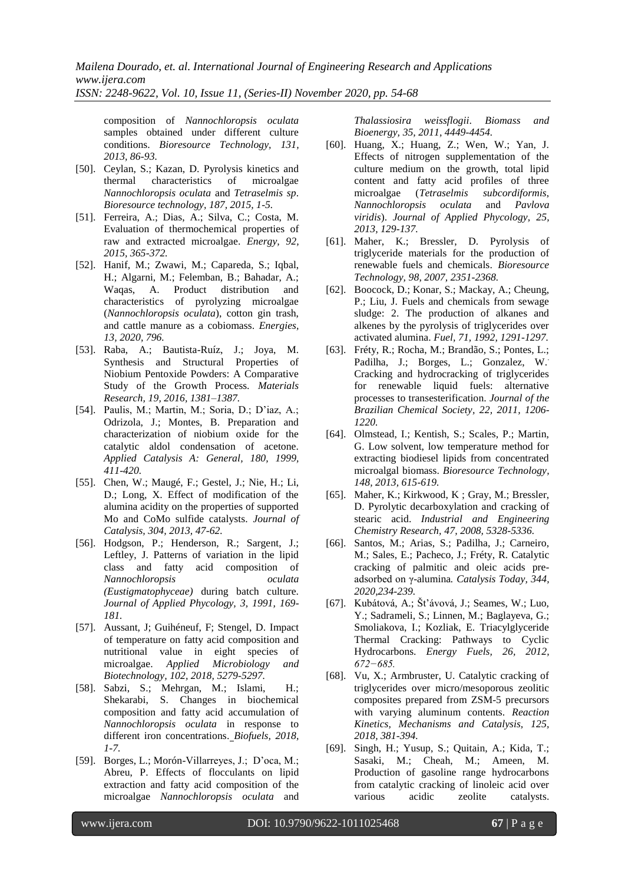*ISSN: 2248-9622, Vol. 10, Issue 11, (Series-II) November 2020, pp. 54-68*

composition of *Nannochloropsis oculata* samples obtained under different culture conditions. *Bioresource Technology, 131, 2013, 86-93.*

- [50]. Ceylan, S.; Kazan, D. Pyrolysis kinetics and thermal characteristics of microalgae *Nannochloropsis oculata* and *Tetraselmis sp*. *Bioresource technology, 187, 2015, 1-5.*
- [51]. Ferreira, A.; Dias, A.; Silva, C.; Costa, M. Evaluation of thermochemical properties of raw and extracted microalgae. *Energy, 92, 2015, 365-372.*
- [52]. Hanif, M.; Zwawi, M.; Capareda, S.; Iqbal, H.; Algarni, M.; Felemban, B.; Bahadar, A.; Waqas, A. Product distribution and characteristics of pyrolyzing microalgae (*Nannochloropsis oculata*), cotton gin trash, and cattle manure as a cobiomass. *Energies, 13, 2020, 796.*
- [53]. Raba, A.; Bautista-Ruíz, J.; Joya, M. Synthesis and Structural Properties of Niobium Pentoxide Powders: A Comparative Study of the Growth Process. *Materials Research, 19, 2016, 1381–1387.*
- [54]. Paulis, M.; Martin, M.; Soria, D.; D'iaz, A.; Odrizola, J.; Montes, B. Preparation and characterization of niobium oxide for the catalytic aldol condensation of acetone. *Applied Catalysis A: General, 180, 1999, 411-420.*
- [55]. Chen, W.; Maugé, F.; Gestel, J.; Nie, H.; Li, D.; Long, X. Effect of modification of the alumina acidity on the properties of supported Mo and CoMo sulfide catalysts. *[Journal of](https://www.sciencedirect.com/science/journal/00219517)  [Catalysis,](https://www.sciencedirect.com/science/journal/00219517) 304, 2013, 47-62.*
- [56]. Hodgson, P.; Henderson, R.; Sargent, J.; Leftley, J. Patterns of variation in the lipid class and fatty acid composition of *Nannochloropsis oculata (Eustigmatophyceae)* during batch culture. *Journal of Applied Phycology, 3, 1991, 169- 181.*
- [57]. Aussant, J; Guihéneuf, F; Stengel, D. Impact of temperature on fatty acid composition and nutritional value in eight species of microalgae. *Applied Microbiology and Biotechnology, 102, 2018, 5279-5297.*
- [58]. Sabzi, S.; Mehrgan, M.; Islami, H.; Shekarabi, S. Changes in biochemical composition and fatty acid accumulation of *Nannochloropsis oculata* in response to different iron concentrations. *Biofuels, 2018, 1-7.*
- [59]. Borges, L.; Morón-Villarreyes, J.; D'oca, M.; Abreu, P. Effects of flocculants on lipid extraction and fatty acid composition of the microalgae *Nannochloropsis oculata* and

*Thalassiosira weissflogii*. *Biomass and Bioenergy, 35, 2011, 4449-4454.*

- [60]. Huang, X.; Huang, Z.; Wen, W.; Yan, J. Effects of nitrogen supplementation of the culture medium on the growth, total lipid content and fatty acid profiles of three microalgae (*Tetraselmis subcordiformis*, *Nannochloropsis oculata* and *Pavlova viridis*). *Journal of Applied Phycology, 25, 2013, 129-137.*
- [61]. Maher, K.; Bressler, D. Pyrolysis of triglyceride materials for the production of renewable fuels and chemicals. *Bioresource Technology, 98, 2007, 2351-2368.*
- [62]. Boocock, D.; Konar, S.; [Mackay,](https://scholar.google.fr/citations?user=J4tFOWQAAAAJ&hl=fr&oi=sra) A.; Cheung, P.; Liu, J. [Fuels and chemicals from sewage](https://www.sciencedirect.com/science/article/pii/001623619290056T)  [sludge: 2. The production of alkanes and](https://www.sciencedirect.com/science/article/pii/001623619290056T)  [alkenes by the pyrolysis of triglycerides over](https://www.sciencedirect.com/science/article/pii/001623619290056T)  [activated alumina.](https://www.sciencedirect.com/science/article/pii/001623619290056T) *[Fuel,](https://www.sciencedirect.com/science/journal/00162361) 71, 1992, 1291-1297.*
- [63]. Fréty, R.; Rocha, M.; Brandão, S.; Pontes, L.; Padilha, J.; Borges, L.; Gonzalez, W.. Cracking and hydrocracking of triglycerides for renewable liquid fuels: alternative processes to transesterification. *[Journal of the](http://www.scielo.br/scielo.php?script=sci_serial&pid=0103-5053&lng=en&nrm=iso)  [Brazilian Chemical Society,](http://www.scielo.br/scielo.php?script=sci_serial&pid=0103-5053&lng=en&nrm=iso) 22, 2011, 1206- 1220.*
- [64]. Olmstead, I.; Kentish, S.; Scales, P.; Martin, G. Low solvent, low temperature method for extracting biodiesel lipids from concentrated microalgal biomass. *[Bioresource Technology,](https://www.sciencedirect.com/science/journal/09608524) 148, 2013, 615-619.*
- [65]. Maher, K.; Kirkwood, K ; Gray, M.; Bressler, D. Pyrolytic decarboxylation and cracking of stearic acid. *Industrial and Engineering Chemistry Research, 47, 2008, 5328-5336.*
- [66]. [Santos,](https://www.sciencedirect.com/science/article/abs/pii/S0920586118305534#!) M.; [Arias,](https://www.sciencedirect.com/science/article/abs/pii/S0920586118305534#!) S.; [Padilha,](https://www.sciencedirect.com/science/article/abs/pii/S0920586118305534#!) J.; [Carneiro,](https://www.sciencedirect.com/science/article/abs/pii/S0920586118305534#!) M.; [Sales,](https://www.sciencedirect.com/science/article/abs/pii/S0920586118305534#!) E.; [Pacheco,](https://www.sciencedirect.com/science/article/abs/pii/S0920586118305534#!) J.; [Fréty,](https://www.sciencedirect.com/science/article/abs/pii/S0920586118305534#!) R. Catalytic cracking of palmitic and oleic acids preadsorbed on γ-alumina*. [Catalysis Today,](https://www.sciencedirect.com/science/journal/09205861) 344, 2020,234-239.*
- [67]. Kubátová, A.; Št'ávová, J.; Seames, W.; Luo, Y.; Sadrameli, S.; Linnen, M.; Baglayeva, G.; Smoliakova, I.; Kozliak, E. Triacylglyceride Thermal Cracking: Pathways to Cyclic Hydrocarbons. *Energy Fuels, 26, 2012, 672−685.*
- [68]. Vu, X.; Armbruster, U. Catalytic cracking of triglycerides over micro/mesoporous zeolitic composites prepared from ZSM-5 precursors with varying aluminum contents. *Reaction Kinetics, Mechanisms and Catalysis, 125, 2018, 381-394.*
- [69]. Singh, H.; Yusup, S.; Quitain, A.; Kida, T.; Sasaki, M.; Cheah, M.; Ameen, M. Production of gasoline range hydrocarbons from catalytic cracking of linoleic acid over various acidic zeolite catalysts.